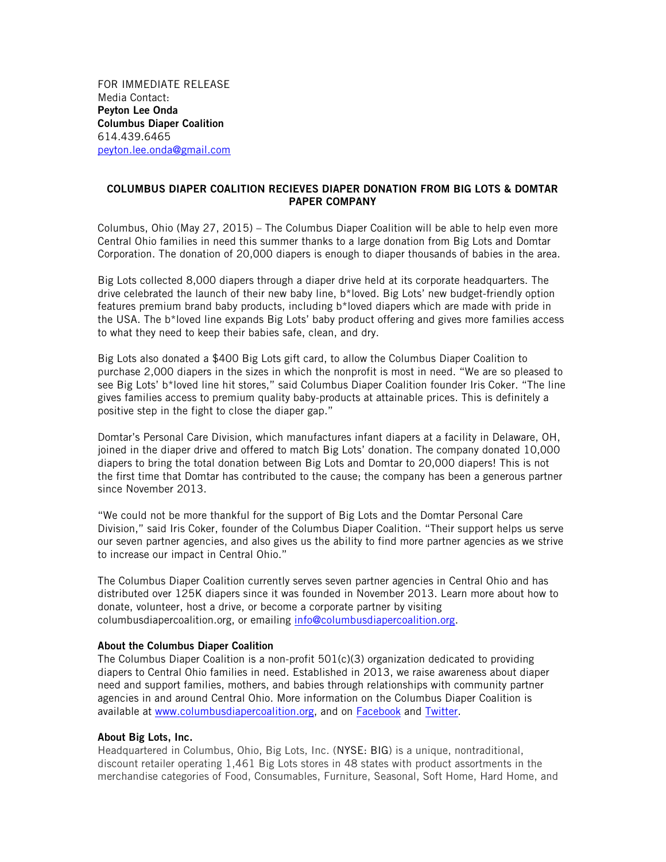FOR IMMEDIATE RELEASE Media Contact: Peyton Lee Onda Columbus Diaper Coalition 614.439.6465 peyton.lee.onda@gmail.com

## COLUMBUS DIAPER COALITION RECIEVES DIAPER DONATION FROM BIG LOTS & DOMTAR PAPER COMPANY

Columbus, Ohio (May 27, 2015) – The Columbus Diaper Coalition will be able to help even more Central Ohio families in need this summer thanks to a large donation from Big Lots and Domtar Corporation. The donation of 20,000 diapers is enough to diaper thousands of babies in the area.

Big Lots collected 8,000 diapers through a diaper drive held at its corporate headquarters. The drive celebrated the launch of their new baby line, b\*loved. Big Lots' new budget-friendly option features premium brand baby products, including b\*loved diapers which are made with pride in the USA. The b\*loved line expands Big Lots' baby product offering and gives more families access to what they need to keep their babies safe, clean, and dry.

Big Lots also donated a \$400 Big Lots gift card, to allow the Columbus Diaper Coalition to purchase 2,000 diapers in the sizes in which the nonprofit is most in need. "We are so pleased to see Big Lots' b\*loved line hit stores," said Columbus Diaper Coalition founder Iris Coker. "The line gives families access to premium quality baby-products at attainable prices. This is definitely a positive step in the fight to close the diaper gap."

Domtar's Personal Care Division, which manufactures infant diapers at a facility in Delaware, OH, joined in the diaper drive and offered to match Big Lots' donation. The company donated 10,000 diapers to bring the total donation between Big Lots and Domtar to 20,000 diapers! This is not the first time that Domtar has contributed to the cause; the company has been a generous partner since November 2013.

"We could not be more thankful for the support of Big Lots and the Domtar Personal Care Division," said Iris Coker, founder of the Columbus Diaper Coalition. "Their support helps us serve our seven partner agencies, and also gives us the ability to find more partner agencies as we strive to increase our impact in Central Ohio."

The Columbus Diaper Coalition currently serves seven partner agencies in Central Ohio and has distributed over 125K diapers since it was founded in November 2013. Learn more about how to donate, volunteer, host a drive, or become a corporate partner by visiting columbusdiapercoalition.org, or emailing info@columbusdiapercoalition.org.

## About the Columbus Diaper Coalition

The Columbus Diaper Coalition is a non-profit 501(c)(3) organization dedicated to providing diapers to Central Ohio families in need. Established in 2013, we raise awareness about diaper need and support families, mothers, and babies through relationships with community partner agencies in and around Central Ohio. More information on the Columbus Diaper Coalition is available at www.columbusdiapercoalition.org, and on Facebook and Twitter.

## About Big Lots, Inc.

Headquartered in Columbus, Ohio, Big Lots, Inc. (NYSE: BIG) is a unique, nontraditional, discount retailer operating 1,461 Big Lots stores in 48 states with product assortments in the merchandise categories of Food, Consumables, Furniture, Seasonal, Soft Home, Hard Home, and